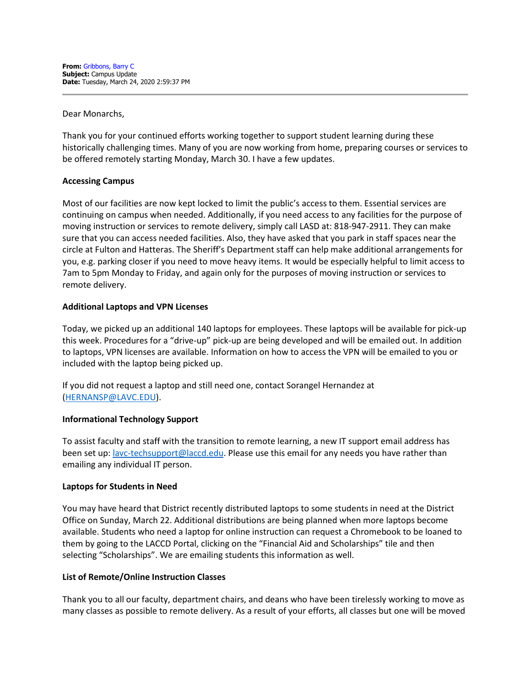Dear Monarchs,

Thank you for your continued efforts working together to support student learning during these historically challenging times. Many of you are now working from home, preparing courses or services to be offered remotely starting Monday, March 30. I have a few updates.

### **Accessing Campus**

Most of our facilities are now kept locked to limit the public's access to them. Essential services are continuing on campus when needed. Additionally, if you need access to any facilities for the purpose of moving instruction or services to remote delivery, simply call LASD at: 818-947-2911. They can make sure that you can access needed facilities. Also, they have asked that you park in staff spaces near the circle at Fulton and Hatteras. The Sheriff's Department staff can help make additional arrangements for you, e.g. parking closer if you need to move heavy items. It would be especially helpful to limit access to 7am to 5pm Monday to Friday, and again only for the purposes of moving instruction or services to remote delivery.

### **Additional Laptops and VPN Licenses**

Today, we picked up an additional 140 laptops for employees. These laptops will be available for pick-up this week. Procedures for a "drive-up" pick-up are being developed and will be emailed out. In addition to laptops, VPN licenses are available. Information on how to access the VPN will be emailed to you or included with the laptop being picked up.

If you did not request a laptop and still need one, contact Sorangel Hernandez at [\(HERNANSP@LAVC.EDU\)](mailto:HERNANSP@LAVC.EDU).

### **Informational Technology Support**

To assist faculty and staff with the transition to remote learning, a new IT support email address has been set up: [lavc-techsupport@laccd.edu.](mailto:lavc-techsupport@laccd.edu) Please use this email for any needs you have rather than emailing any individual IT person.

### **Laptops for Students in Need**

You may have heard that District recently distributed laptops to some students in need at the District Office on Sunday, March 22. Additional distributions are being planned when more laptops become available. Students who need a laptop for online instruction can request a Chromebook to be loaned to them by going to the LACCD Portal, clicking on the "Financial Aid and Scholarships" tile and then selecting "Scholarships". We are emailing students this information as well.

### **List of Remote/Online Instruction Classes**

Thank you to all our faculty, department chairs, and deans who have been tirelessly working to move as many classes as possible to remote delivery. As a result of your efforts, all classes but one will be moved